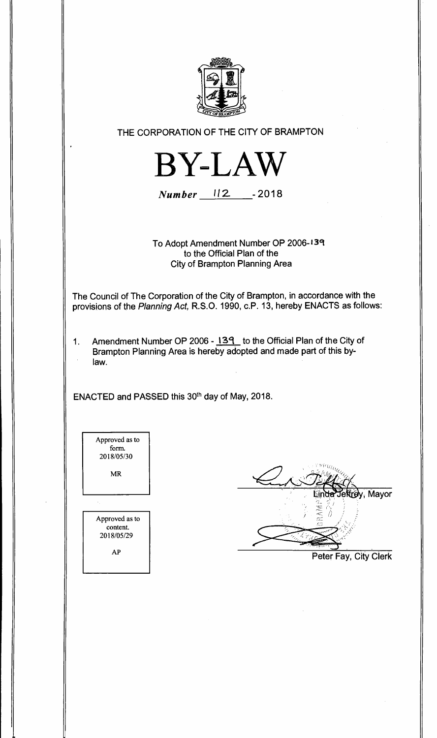

**THE CORPORATION OF THE CITY OF BRAMPTON** 



**Number 112 -2018** 

**To Adopt Amendment Number OP 2006-1 39 to the Official Plan of the City of Brampton Planning Area** 

**The Council of The Corporation of the City of Brampton, in accordance with the provisions of the Planning Act, R.S.O. 1990, c.P. 13, hereby ENACTS as follows:** 

**1. Amendment Number OP 2006 - 139 to the Official Plan of the City of Brampton Planning Area is hereby adopted and made part of this bylaw.** 

ENACTED and PASSED this 30<sup>th</sup> day of May, 2018.

| Approved as to<br>form.<br>2018/05/30    |
|------------------------------------------|
| MR                                       |
|                                          |
| Approved as to<br>content.<br>2018/05/29 |
| ΑP                                       |

y, Mayor

**Peter Fay, City Clerk**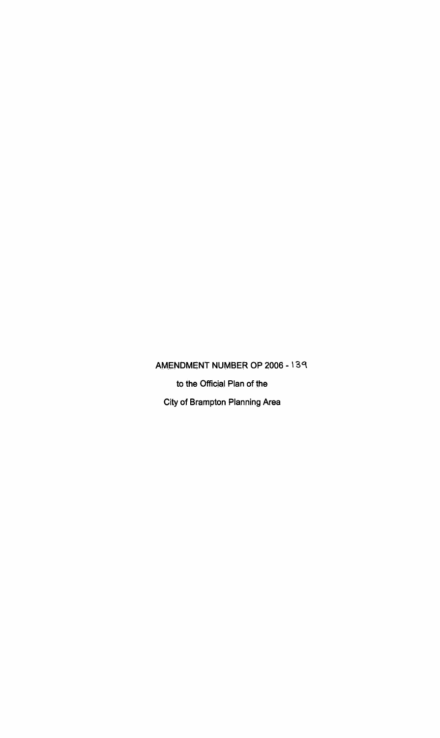**AMENDMENT NUMBER OP 2006 - 139 to the Official Plan of the City of Brampton Planning Area**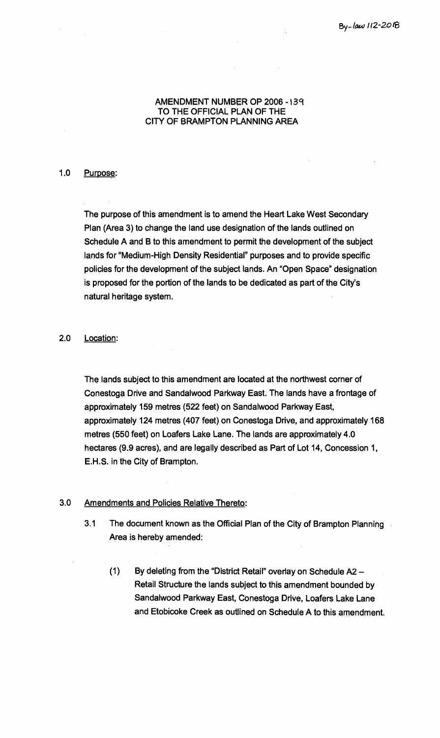### **AMENDMENT NUMBER OP 2006 -139 TO THE OFFICIAL PLAN OF THE CITY OF BRAMPTON PLANNING AREA**

# **1.0 Purpose:**

**The purpose of this amendment is to amend the Heart Lake West Secondary Plan (Area 3) to change the land use designation of the lands outlined on Schedule A and B to this amendment to permit the development of the subject lands for "Medium-High Density Residential" purposes and to provide specific policies for the development of the subject lands. An "Open Space" designation is proposed for the portion of the lands to be dedicated as part of the City's natural heritage system.** 

# **2.0 Location:**

**The lands subject to this amendment are located at the northwest corner of Conestoga Drive and Sandalwood Parkway East. The lands have a frontage of approximately 159 metres (522 feet) on Sandalwood Parkway East, approximately 124 metres (407 feet) on Conestoga Drive, and approximately 168 metres (550 feet) on Loafers Lake Lane. The lands are approximately 4.0 hectares (9.9 acres), and are legally described as Part of Lot 14, Concession 1, E.H.S. in the City of Brampton.** 

# **3.0 Amendments and Policies Relative Thereto:**

- **3.1 The document known as the Official Plan of the City of Brampton Planning Area is hereby amended:** 
	- **(1) By deleting from the "District Retail" overlay on Schedule A2 Retail Structure the lands subject to this amendment bounded by Sandalwood Parkway East, Conestoga Drive, Loafers Lake Lane and Etobicoke Creek as outlined on Schedule A to this amendment.**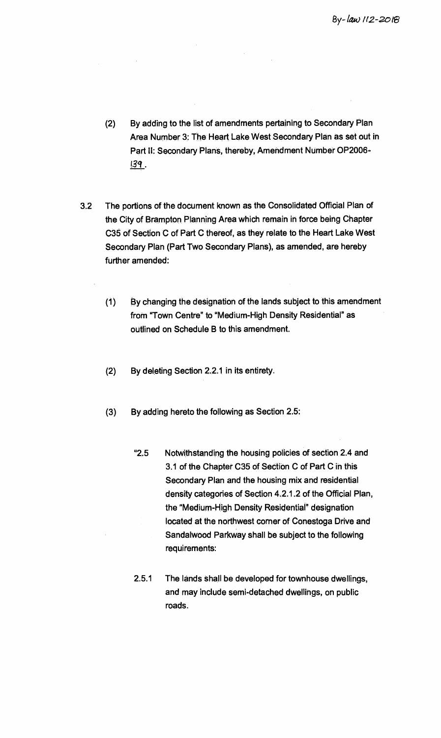- **(2) By adding to the list of amendments pertaining to Secondary Plan Area Number 3: The Heart Lake West Secondary Plan as set out in Part II: Secondary Plans, thereby, Amendment Number OP2006-** 139 .
- **3.2 The portions of the document known as the Consolidated Official Plan of the City of Brampton Planning Area which remain in force being Chapter C35 of Section C of Part C thereof, as they relate to the Heart Lake West Secondary Plan (Part Two Secondary Plans), as amended, are hereby further amended:** 
	- **(1) By changing the designation of the lands subject to this amendment from "Town Centre" to "Medium-High Density Residential" as outlined on Schedule B to this amendment.**
	- **(2) By deleting Section 2.2.1 in its entirety.**
	- **(3) By adding hereto the following as Section 2.5:** 
		- **'2.5 Notwithstanding the housing policies of section 2.4 and 3.1 of the Chapter C35 of Section C of Part C in this Secondary Plan and the housing mix and residential density categories of Section 4.2.1.2 of the Official Plan, the "Medium-High Density Residential" designation located at the northwest comer of Conestoga Drive and Sandalwood Parkway shall be subject to the following requirements:**
		- **2.5.1 The lands shall be developed for townhouse dwellings, and may include semi-detached dwellings, on public roads.**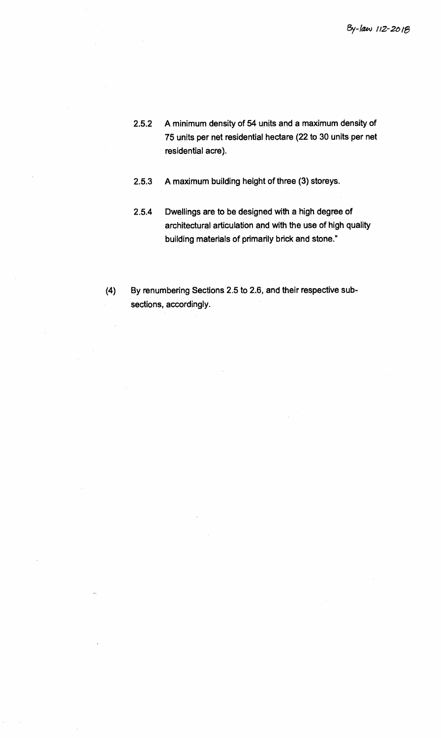- **2.5.2 A minimum density of 54 units and a maximum density of 75 units per net residential hectare (22 to 30 units per net residential acre).**
- **2.5.3 A maximum building height of three (3) storeys.**
- **2.5.4 Dwellings are to be designed with a high degree of architectural articulation and with the use of high quality building materials of primarily brick and stone."**
- **(4) By renumbering Sections 2.5 to 2.6, and their respective subsections, accordingly.**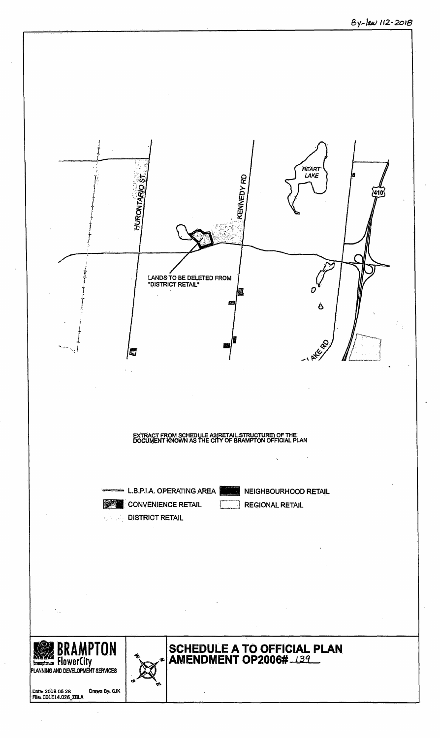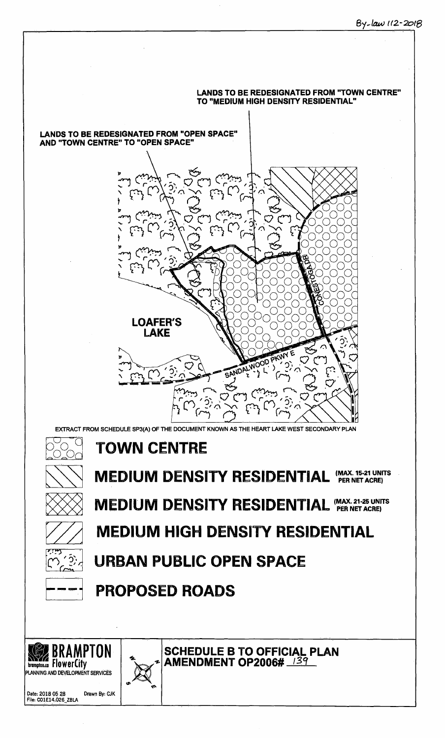